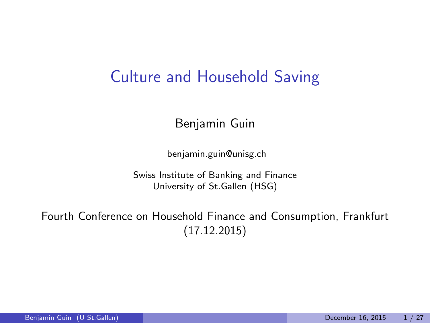### Culture and Household Saving

Benjamin Guin

benjamin.guin@unisg.ch

Swiss Institute of Banking and Finance University of St.Gallen (HSG)

Fourth Conference on Household Finance and Consumption, Frankfurt (17.12.2015)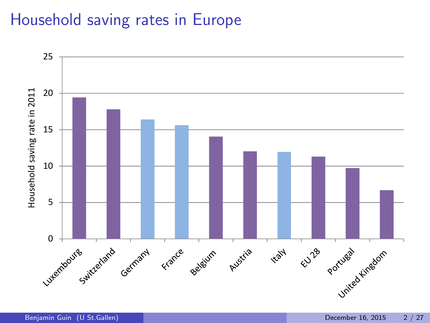## Household saving rates in Europe

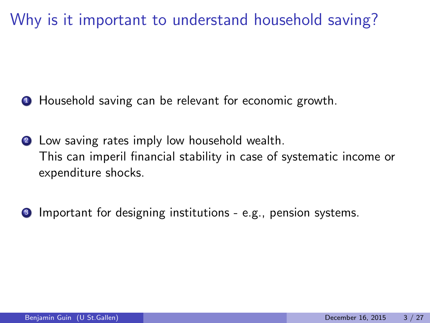Why is it important to understand household saving?

**1** Household saving can be relevant for economic growth.

- **2** Low saving rates imply low household wealth. This can imperil financial stability in case of systematic income or expenditure shocks.
- **3** Important for designing institutions e.g., pension systems.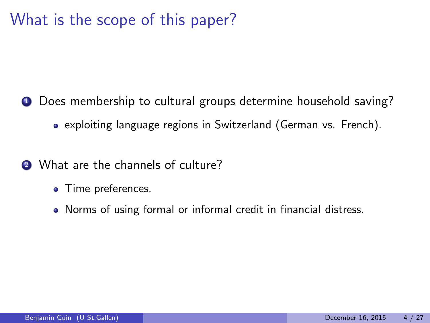## What is the scope of this paper?

- **1** Does membership to cultural groups determine household saving?
	- exploiting language regions in Switzerland (German vs. French).
- <sup>2</sup> What are the channels of culture?
	- Time preferences.
	- Norms of using formal or informal credit in financial distress.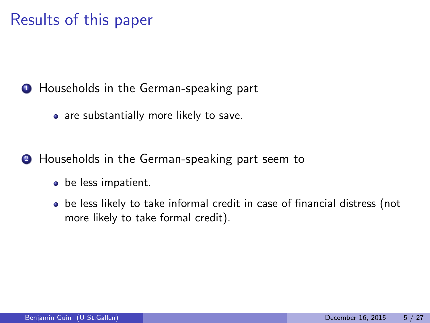## Results of this paper

**1** Households in the German-speaking part

• are substantially more likely to save.

**2** Households in the German-speaking part seem to

- be less impatient.
- be less likely to take informal credit in case of financial distress (not more likely to take formal credit).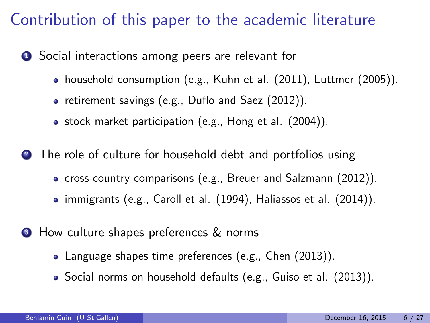## Contribution of this paper to the academic literature

**1** Social interactions among peers are relevant for

- household consumption (e.g., Kuhn et al. (2011), Luttmer (2005)).
- retirement savings (e.g., Duflo and Saez (2012)).
- stock market participation (e.g., Hong et al. (2004)).

**2** The role of culture for household debt and portfolios using

- cross-country comparisons (e.g., Breuer and Salzmann (2012)).
- immigrants (e.g., Caroll et al. (1994), Haliassos et al. (2014)).
- **3** How culture shapes preferences & norms
	- Language shapes time preferences (e.g., Chen (2013)).
	- Social norms on household defaults (e.g., Guiso et al. (2013)).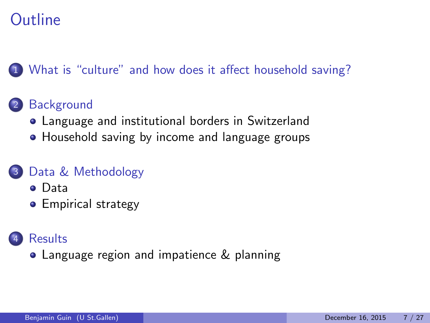# **Outline**

#### [What is "culture" and how does it affect household saving?](#page-7-0)

#### **[Background](#page-9-0)**

- [Language and institutional borders in Switzerland](#page-10-0)
- [Household saving by income and language groups](#page-11-0)

#### [Data & Methodology](#page-13-0)

- [Data](#page-14-0)
- **•** [Empirical strategy](#page-16-0)

#### **[Results](#page-18-0)**

[Language region and impatience & planning](#page-24-0)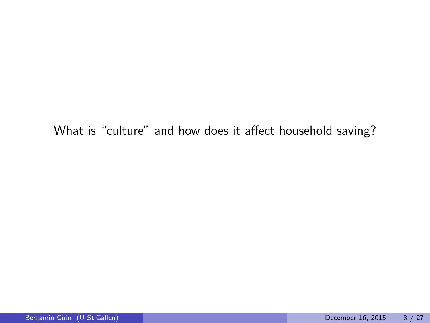#### <span id="page-7-0"></span>What is "culture" and how does it affect household saving?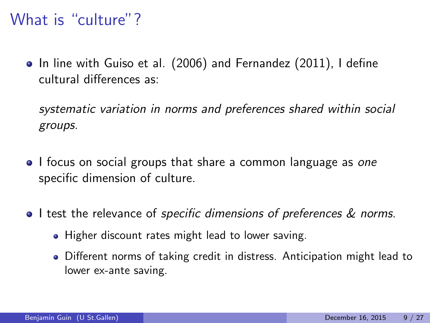## What is "culture"?

• In line with Guiso et al. (2006) and Fernandez (2011), I define cultural differences as:

systematic variation in norms and preferences shared within social groups.

- I focus on social groups that share a common language as one specific dimension of culture.
- I test the relevance of specific dimensions of preferences & norms.
	- Higher discount rates might lead to lower saving.
	- Different norms of taking credit in distress. Anticipation might lead to lower ex-ante saving.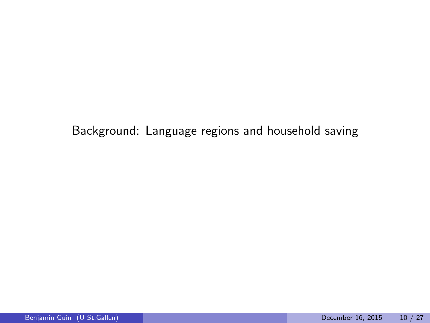<span id="page-9-0"></span>Background: Language regions and household saving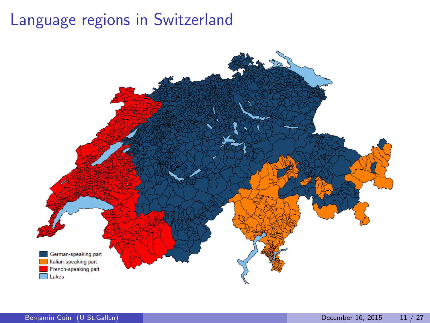# Language regions in Switzerland

<span id="page-10-0"></span>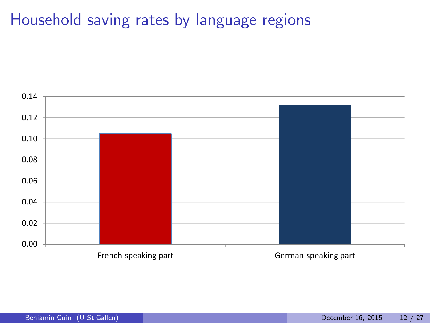### Household saving rates by language regions

<span id="page-11-0"></span>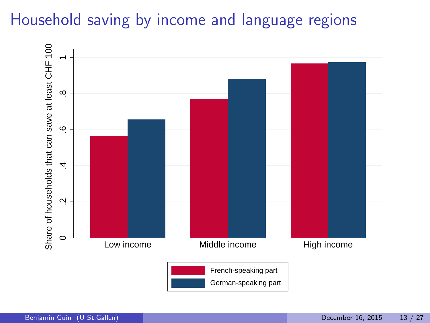# Household saving by income and language regions

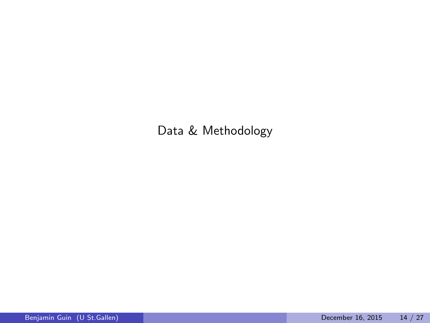<span id="page-13-0"></span>Data & Methodology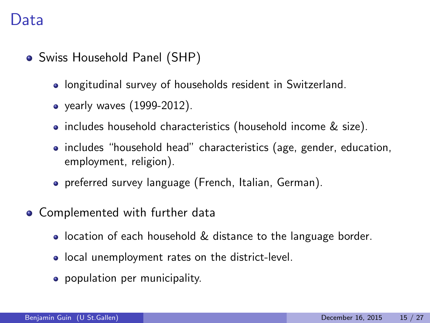#### Data

- Swiss Household Panel (SHP)
	- longitudinal survey of households resident in Switzerland.
	- yearly waves (1999-2012).
	- includes household characteristics (household income & size).
	- includes "household head" characteristics (age, gender, education, employment, religion).
	- preferred survey language (French, Italian, German).
- <span id="page-14-0"></span>• Complemented with further data
	- **•** location of each household & distance to the language border.
	- local unemployment rates on the district-level.
	- population per municipality.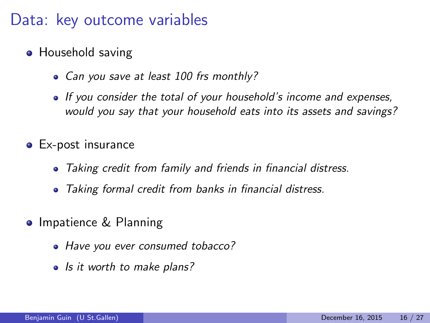### Data: key outcome variables

- Household saving
	- Can you save at least 100 frs monthly?
	- If you consider the total of your household's income and expenses, would you say that your household eats into its assets and savings?
- **Ex-post insurance** 
	- Taking credit from family and friends in financial distress.
	- Taking formal credit from banks in financial distress.
- **Impatience & Planning** 
	- Have you ever consumed tobacco?
	- Is it worth to make plans?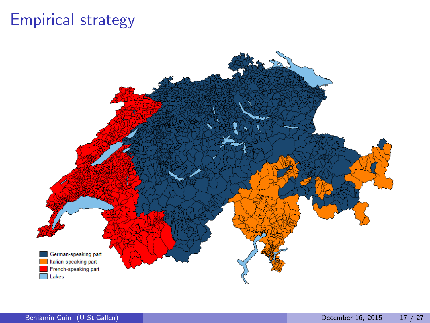## Empirical strategy

<span id="page-16-0"></span>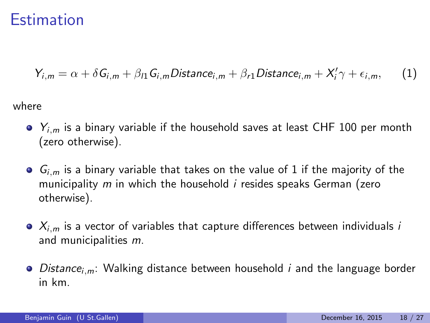#### Estimation

$$
Y_{i,m} = \alpha + \delta G_{i,m} + \beta_{l1} G_{i,m} \text{Distance}_{i,m} + \beta_{r1} \text{Distance}_{i,m} + X_i' \gamma + \epsilon_{i,m}, \qquad (1)
$$

where

- $\bullet$   $Y_{i,m}$  is a binary variable if the household saves at least CHF 100 per month (zero otherwise).
- $\bullet$   $G_{i,m}$  is a binary variable that takes on the value of 1 if the majority of the municipality  $m$  in which the household  $i$  resides speaks German (zero otherwise).
- $\bullet$   $X_{i,m}$  is a vector of variables that capture differences between individuals *i* and municipalities m.
- $\bullet$  Distance<sub>i,m</sub>: Walking distance between household *i* and the language border in km.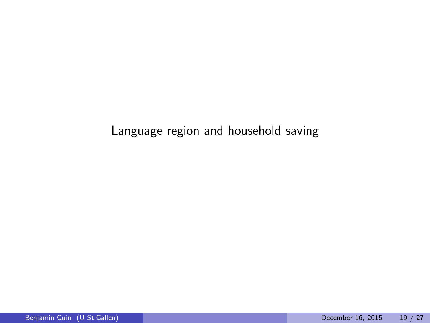#### <span id="page-18-0"></span>Language region and household saving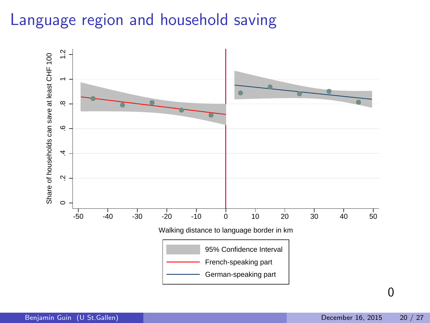# Language region and household saving

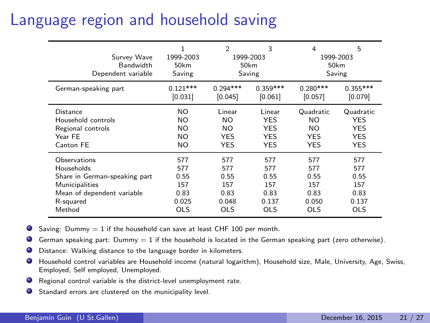## Language region and household saving

| Survey Wave<br><b>Bandwidth</b><br>Dependent variable | 1<br>1999-2003<br>50km<br>Saving | $\mathfrak{p}$<br>3<br>1999-2003<br>50 <sub>km</sub><br>Saving |            | 5<br>4<br>1999-2003<br>50 <sub>km</sub><br>Saving |            |
|-------------------------------------------------------|----------------------------------|----------------------------------------------------------------|------------|---------------------------------------------------|------------|
| German-speaking part                                  | $0.121***$                       | $0.294***$                                                     | $0.359***$ | $0.280***$                                        | $0.355***$ |
|                                                       | [0.031]                          | [0.045]                                                        | [0.061]    | [0.057]                                           | [0.079]    |
| Distance                                              | NO.                              | Linear                                                         | Linear     | Quadratic                                         | Quadratic  |
| Household controls                                    | NO.                              | NO.                                                            | <b>YES</b> | NO.                                               | <b>YES</b> |
| Regional controls                                     | NO.                              | NO.                                                            | <b>YES</b> | NO.                                               | <b>YES</b> |
| Year FE                                               | NO.                              | <b>YES</b>                                                     | <b>YES</b> | <b>YES</b>                                        | <b>YES</b> |
| Canton FE                                             | NO.                              | <b>YES</b>                                                     | <b>YES</b> | <b>YES</b>                                        | <b>YES</b> |
| Observations                                          | 577                              | 577                                                            | 577        | 577                                               | 577        |
| Households                                            | 577                              | 577                                                            | 577        | 577                                               | 577        |
| Share in German-speaking part                         | 0.55                             | 0.55                                                           | 0.55       | 0.55                                              | 0.55       |
| Municipalities                                        | 157                              | 157                                                            | 157        | 157                                               | 157        |
| Mean of dependent variable                            | 0.83                             | 0.83                                                           | 0.83       | 0.83                                              | 0.83       |
| R-squared                                             | 0.025                            | 0.048                                                          | 0.137      | 0.050                                             | 0.137      |
| Method                                                | <b>OLS</b>                       | <b>OLS</b>                                                     | OLS        | OLS                                               | <b>OLS</b> |

Saving: Dummy  $= 1$  if the household can save at least CHF 100 per month.

German speaking part:  $Dummy = 1$  if the household is located in the German speaking part (zero otherwise).

- Distance: Walking distance to the language border in kilometers.
- Household control variables are Household income (natural logarithm), Household size, Male, University, Age, Swiss, Employed, Self employed, Unemployed.
- Regional control variable is the district-level unemployment rate.
- Standard errors are clustered on the municipality level.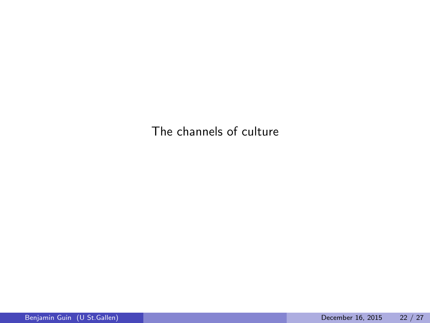The channels of culture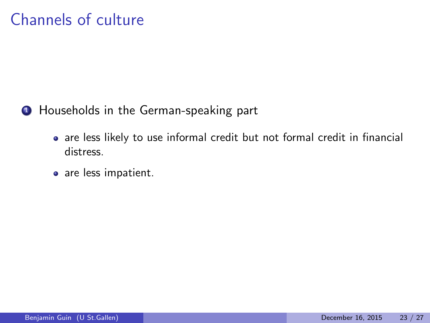## Channels of culture

**1** Households in the German-speaking part

- are less likely to use informal credit but not formal credit in financial distress.
- are less impatient.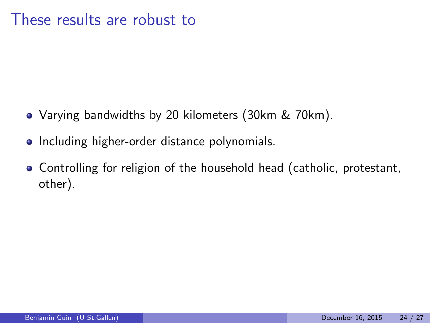#### These results are robust to

- Varying bandwidths by 20 kilometers (30km & 70km).
- Including higher-order distance polynomials.
- Controlling for religion of the household head (catholic, protestant, other).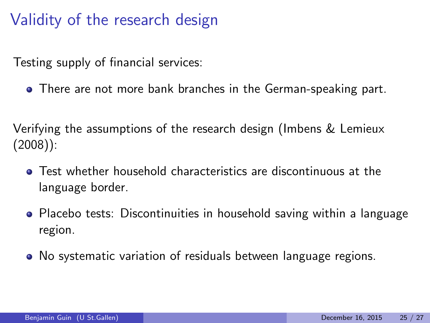## Validity of the research design

Testing supply of financial services:

**•** There are not more bank branches in the German-speaking part.

Verifying the assumptions of the research design (Imbens & Lemieux (2008)):

- Test whether household characteristics are discontinuous at the language border.
- Placebo tests: Discontinuities in household saving within a language region.
- <span id="page-24-0"></span>No systematic variation of residuals between language regions.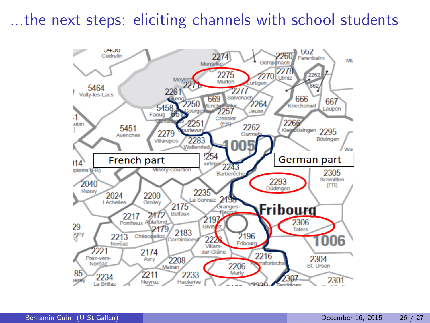#### ...the next steps: eliciting channels with school students